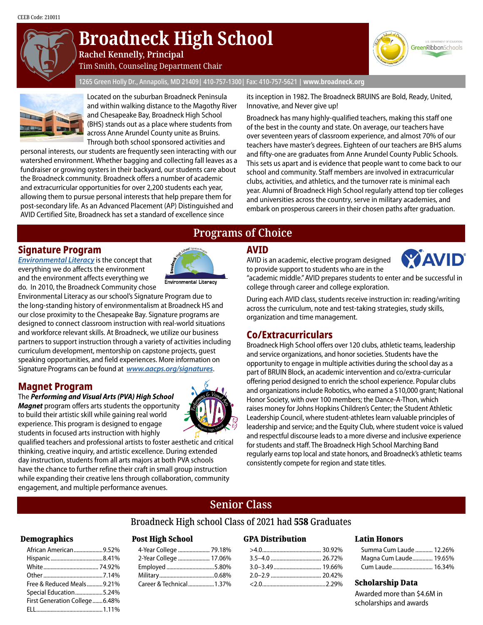

# **Broadneck High School**

**Rachel Kennelly, Principal**

Tim Smith, Counseling Department Chair

1265 Green Holly Dr., Annapolis, MD 21409| 410-757-1300| Fax: 410-757-5621 | **www.broadneck.org**



Located on the suburban Broadneck Peninsula and within walking distance to the Magothy River and Chesapeake Bay, Broadneck High School (BHS) stands out as a place where students from across Anne Arundel County unite as Bruins. Through both school sponsored activities and

personal interests, our students are frequently seen interacting with our watershed environment. Whether bagging and collecting fall leaves as a fundraiser or growing oysters in their backyard, our students care about the Broadneck community. Broadneck offers a number of academic and extracurricular opportunities for over 2,200 students each year, allowing them to pursue personal interests that help prepare them for post-secondary life. As an Advanced Placement (AP) Distinguished and AVID Certified Site, Broadneck has set a standard of excellence since

its inception in 1982. The Broadneck BRUINS are Bold, Ready, United, Innovative, and Never give up!

Broadneck has many highly-qualified teachers, making this staff one of the best in the county and state. On average, our teachers have over seventeen years of classroom experience, and almost 70% of our teachers have master's degrees. Eighteen of our teachers are BHS alums and fifty-one are graduates from Anne Arundel County Public Schools. This sets us apart and is evidence that people want to come back to our school and community. Staff members are involved in extracurricular clubs, activities, and athletics, and the turnover rate is minimal each year. Alumni of Broadneck High School regularly attend top tier colleges and universities across the country, serve in military academies, and embark on prosperous careers in their chosen paths after graduation.

### **Signature Program**

*[Environmental Literacy](www.aacps.org/broadnecksignature)* is the concept that everything we do affects the environment and the environment affects everything we do. In 2010, the Broadneck Community chose



Environmental Literacy as our school's Signature Program due to the long-standing history of environmentalism at Broadneck HS and our close proximity to the Chesapeake Bay. Signature programs are designed to connect classroom instruction with real-world situations and workforce relevant skills. At Broadneck, we utilize our business partners to support instruction through a variety of activities including curriculum development, mentorship on capstone projects, guest speaking opportunities, and field experiences. More information on Signature Programs can be found at *www.aacps.org/signatures*.

# **Magnet Program**

#### The *Performing and Visual Arts (PVA) High School*

*Magnet* program offers arts students the opportunity to build their artistic skill while gaining real world experience. This program is designed to engage students in focused arts instruction with highly



qualified teachers and professional artists to foster aesthetic and critical thinking, creative inquiry, and artistic excellence. During extended day instruction, students from all arts majors at both PVA schools have the chance to further refine their craft in small group instruction while expanding their creative lens through collaboration, community engagement, and multiple performance avenues.

# **Programs of Choice Programs of Choice**

### **AVID**

AVID is an academic, elective program designed to provide support to students who are in the



GreenRibbonSchools

"academic middle." AVID prepares students to enter and be successful in college through career and college exploration.

During each AVID class, students receive instruction in: reading/writing across the curriculum, note and test-taking strategies, study skills, organization and time management.

# **Co/Extracurriculars**

Broadneck High School offers over 120 clubs, athletic teams, leadership and service organizations, and honor societies. Students have the opportunity to engage in multiple activities during the school day as a part of BRUIN Block, an academic intervention and co/extra-curricular offering period designed to enrich the school experience. Popular clubs and organizations include Robotics, who earned a \$10,000 grant; National Honor Society, with over 100 members; the Dance-A-Thon, which raises money for Johns Hopkins Children's Center; the Student Athletic Leadership Council, where student-athletes learn valuable principles of leadership and service; and the Equity Club, where student voice is valued and respectful discourse leads to a more diverse and inclusive experience for students and staff. The Broadneck High School Marching Band regularly earns top local and state honors, and Broadneck's athletic teams consistently compete for region and state titles.

# **Senior Class**

### Broadneck High school Class of 2021 had 558 Graduates

#### Demographics

| African American9.52%         |  |
|-------------------------------|--|
|                               |  |
|                               |  |
|                               |  |
| Free & Reduced Meals9.21%     |  |
| Special Education5.24%        |  |
| First Generation College6.48% |  |
|                               |  |

#### Post High School

| 4-Year College  79.18%   |  |
|--------------------------|--|
| 2-Year College  17.06%   |  |
| Employed 5.80%           |  |
|                          |  |
| Career & Technical 1.37% |  |

#### GPA Distribution

#### Latin Honors

| Summa Cum Laude  12.26%   |  |
|---------------------------|--|
| Magna Cum Laude 19.65%    |  |
| Cum Laude……………………… 16.34% |  |

#### Scholarship Data

Awarded more than \$4.6M in scholarships and awards